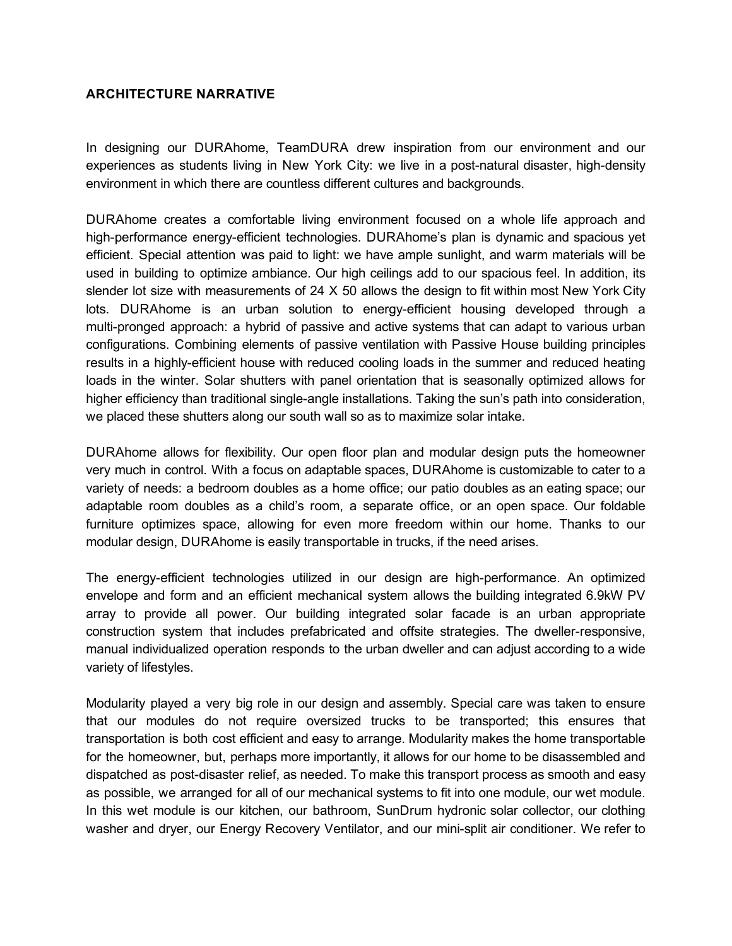## ARCHITECTURE NARRATIVE

In designing our DURAhome, TeamDURA drew inspiration from our environment and our experiences as students living in New York City: we live in a post-natural disaster, high-density environment in which there are countless different cultures and backgrounds.

DURAhome creates a comfortable living environment focused on a whole life approach and high-performance energy-efficient technologies. DURAhome's plan is dynamic and spacious yet efficient. Special attention was paid to light: we have ample sunlight, and warm materials will be used in building to optimize ambiance. Our high ceilings add to our spacious feel. In addition, its slender lot size with measurements of 24 X 50 allows the design to fit within most New York City lots. DURAhome is an urban solution to energy-efficient housing developed through a multi-pronged approach: a hybrid of passive and active systems that can adapt to various urban configurations. Combining elements of passive ventilation with Passive House building principles results in a highly-efficient house with reduced cooling loads in the summer and reduced heating loads in the winter. Solar shutters with panel orientation that is seasonally optimized allows for higher efficiency than traditional single-angle installations. Taking the sun's path into consideration, we placed these shutters along our south wall so as to maximize solar intake.

DURAhome allows for flexibility. Our open floor plan and modular design puts the homeowner very much in control. With a focus on adaptable spaces, DURAhome is customizable to cater to a variety of needs: a bedroom doubles as a home office; our patio doubles as an eating space; our adaptable room doubles as a child's room, a separate office, or an open space. Our foldable furniture optimizes space, allowing for even more freedom within our home. Thanks to our modular design, DURAhome is easily transportable in trucks, if the need arises.

The energy-efficient technologies utilized in our design are high-performance. An optimized envelope and form and an efficient mechanical system allows the building integrated 6.9kW PV array to provide all power. Our building integrated solar facade is an urban appropriate construction system that includes prefabricated and offsite strategies. The dweller-responsive, manual individualized operation responds to the urban dweller and can adjust according to a wide variety of lifestyles.

Modularity played a very big role in our design and assembly. Special care was taken to ensure that our modules do not require oversized trucks to be transported; this ensures that transportation is both cost efficient and easy to arrange. Modularity makes the home transportable for the homeowner, but, perhaps more importantly, it allows for our home to be disassembled and dispatched as post-disaster relief, as needed. To make this transport process as smooth and easy as possible, we arranged for all of our mechanical systems to fit into one module, our wet module. In this wet module is our kitchen, our bathroom, SunDrum hydronic solar collector, our clothing washer and dryer, our Energy Recovery Ventilator, and our minisplit air conditioner. We refer to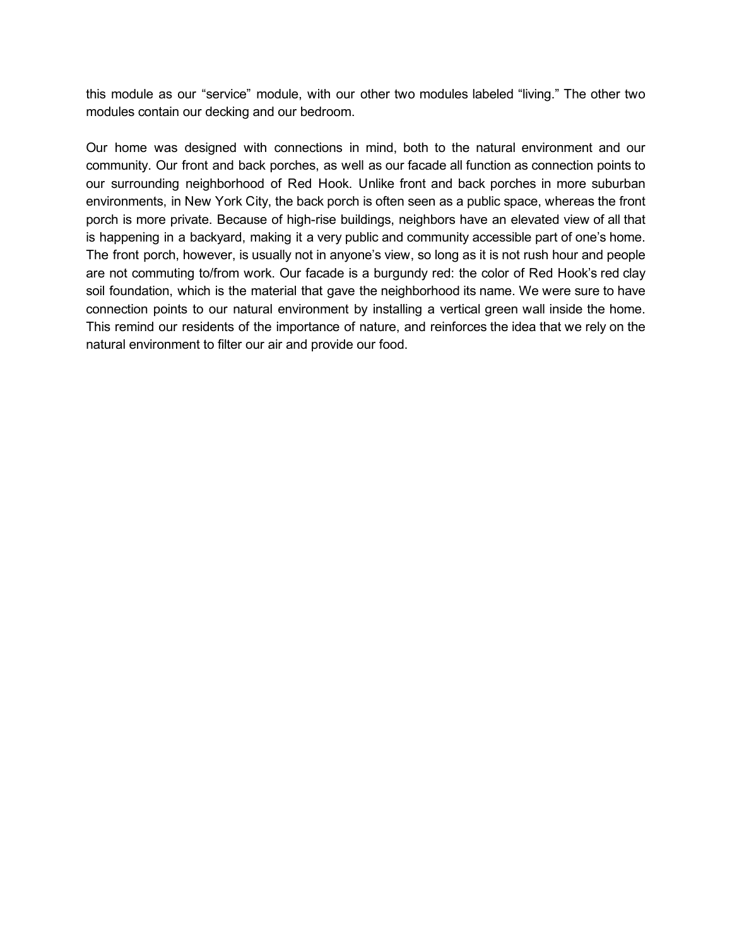this module as our "service" module, with our other two modules labeled "living." The other two modules contain our decking and our bedroom.

Our home was designed with connections in mind, both to the natural environment and our community. Our front and back porches, as well as our facade all function as connection points to our surrounding neighborhood of Red Hook. Unlike front and back porches in more suburban environments, in New York City, the back porch is often seen as a public space, whereas the front porch is more private. Because of high-rise buildings, neighbors have an elevated view of all that is happening in a backyard, making it a very public and community accessible part of one's home. The front porch, however, is usually not in anyone's view, so long as it is not rush hour and people are not commuting to/from work. Our facade is a burgundy red: the color of Red Hook's red clay soil foundation, which is the material that gave the neighborhood its name. We were sure to have connection points to our natural environment by installing a vertical green wall inside the home. This remind our residents of the importance of nature, and reinforces the idea that we rely on the natural environment to filter our air and provide our food.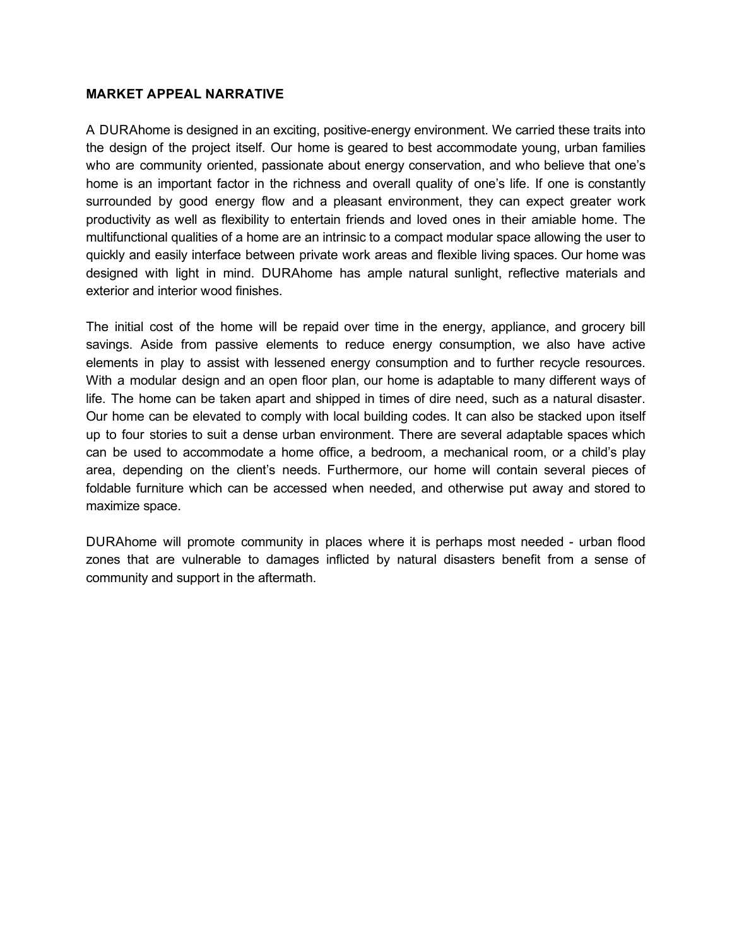## MARKET APPEAL NARRATIVE

A DURAhome is designed in an exciting, positive-energy environment. We carried these traits into the design of the project itself. Our home is geared to best accommodate young, urban families who are community oriented, passionate about energy conservation, and who believe that one's home is an important factor in the richness and overall quality of one's life. If one is constantly surrounded by good energy flow and a pleasant environment, they can expect greater work productivity as well as flexibility to entertain friends and loved ones in their amiable home. The multifunctional qualities of a home are an intrinsic to a compact modular space allowing the user to quickly and easily interface between private work areas and flexible living spaces. Our home was designed with light in mind. DURAhome has ample natural sunlight, reflective materials and exterior and interior wood finishes.

The initial cost of the home will be repaid over time in the energy, appliance, and grocery bill savings. Aside from passive elements to reduce energy consumption, we also have active elements in play to assist with lessened energy consumption and to further recycle resources. With a modular design and an open floor plan, our home is adaptable to many different ways of life. The home can be taken apart and shipped in times of dire need, such as a natural disaster. Our home can be elevated to comply with local building codes. It can also be stacked upon itself up to four stories to suit a dense urban environment. There are several adaptable spaces which can be used to accommodate a home office, a bedroom, a mechanical room, or a child's play area, depending on the client's needs. Furthermore, our home will contain several pieces of foldable furniture which can be accessed when needed, and otherwise put away and stored to maximize space.

DURAhome will promote community in places where it is perhaps most needed - urban flood zones that are vulnerable to damages inflicted by natural disasters benefit from a sense of community and support in the aftermath.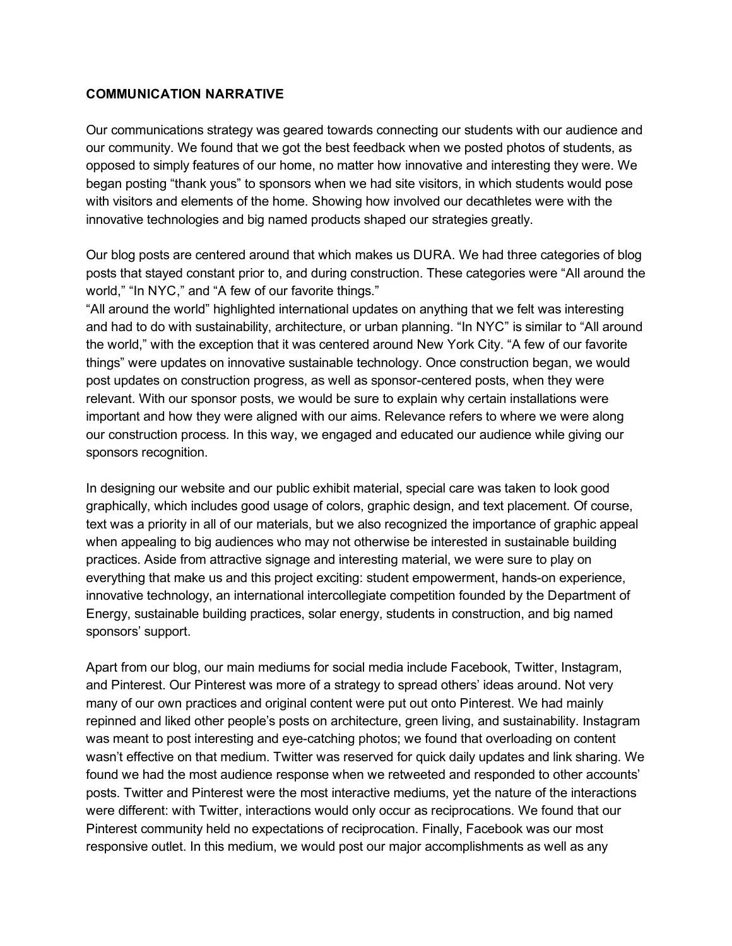## COMMUNICATION NARRATIVE

Our communications strategy was geared towards connecting our students with our audience and our community. We found that we got the best feedback when we posted photos of students, as opposed to simply features of our home, no matter how innovative and interesting they were. We began posting "thank yous" to sponsors when we had site visitors, in which students would pose with visitors and elements of the home. Showing how involved our decathletes were with the innovative technologies and big named products shaped our strategies greatly.

Our blog posts are centered around that which makes us DURA. We had three categories of blog posts that stayed constant prior to, and during construction. These categories were "All around the world," "In NYC," and "A few of our favorite things."

"All around the world" highlighted international updates on anything that we felt was interesting and had to do with sustainability, architecture, or urban planning. "In NYC" is similar to "All around the world," with the exception that it was centered around New York City. "A few of our favorite things" were updates on innovative sustainable technology. Once construction began, we would post updates on construction progress, as well as sponsor-centered posts, when they were relevant. With our sponsor posts, we would be sure to explain why certain installations were important and how they were aligned with our aims. Relevance refers to where we were along our construction process. In this way, we engaged and educated our audience while giving our sponsors recognition.

In designing our website and our public exhibit material, special care was taken to look good graphically, which includes good usage of colors, graphic design, and text placement. Of course, text was a priority in all of our materials, but we also recognized the importance of graphic appeal when appealing to big audiences who may not otherwise be interested in sustainable building practices. Aside from attractive signage and interesting material, we were sure to play on everything that make us and this project exciting: student empowerment, hands-on experience, innovative technology, an international intercollegiate competition founded by the Department of Energy, sustainable building practices, solar energy, students in construction, and big named sponsors' support.

Apart from our blog, our main mediums for social media include Facebook, Twitter, Instagram, and Pinterest. Our Pinterest was more of a strategy to spread others' ideas around. Not very many of our own practices and original content were put out onto Pinterest. We had mainly repinned and liked other people's posts on architecture, green living, and sustainability. Instagram was meant to post interesting and eye-catching photos; we found that overloading on content wasn't effective on that medium. Twitter was reserved for quick daily updates and link sharing. We found we had the most audience response when we retweeted and responded to other accounts' posts. Twitter and Pinterest were the most interactive mediums, yet the nature of the interactions were different: with Twitter, interactions would only occur as reciprocations. We found that our Pinterest community held no expectations of reciprocation. Finally, Facebook was our most responsive outlet. In this medium, we would post our major accomplishments as well as any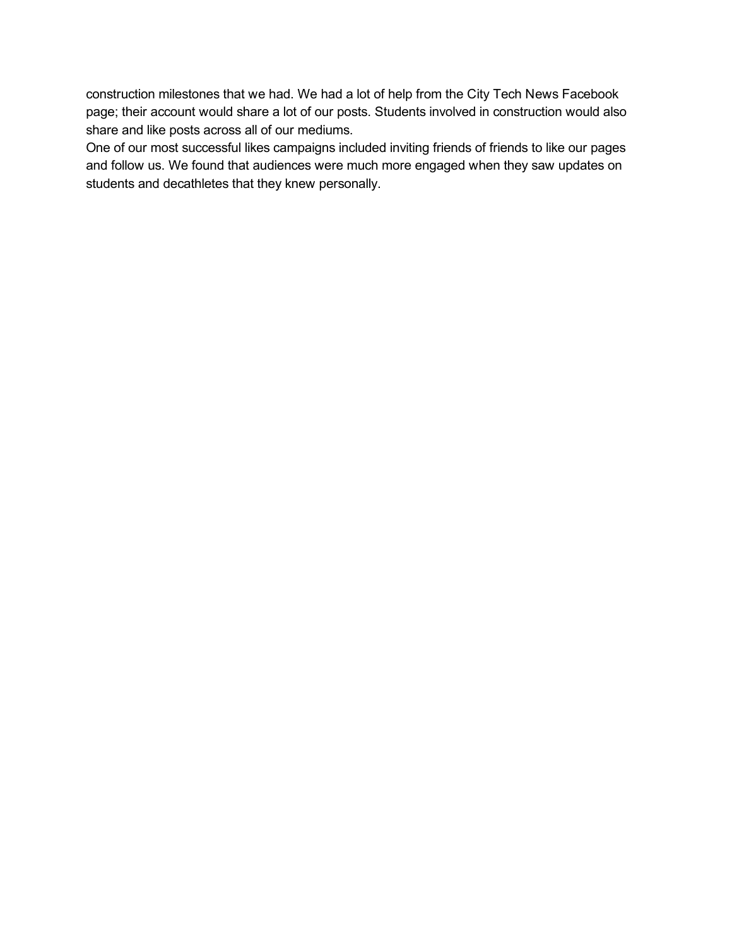construction milestones that we had. We had a lot of help from the City Tech News Facebook page; their account would share a lot of our posts. Students involved in construction would also share and like posts across all of our mediums.

One of our most successful likes campaigns included inviting friends of friends to like our pages and follow us. We found that audiences were much more engaged when they saw updates on students and decathletes that they knew personally.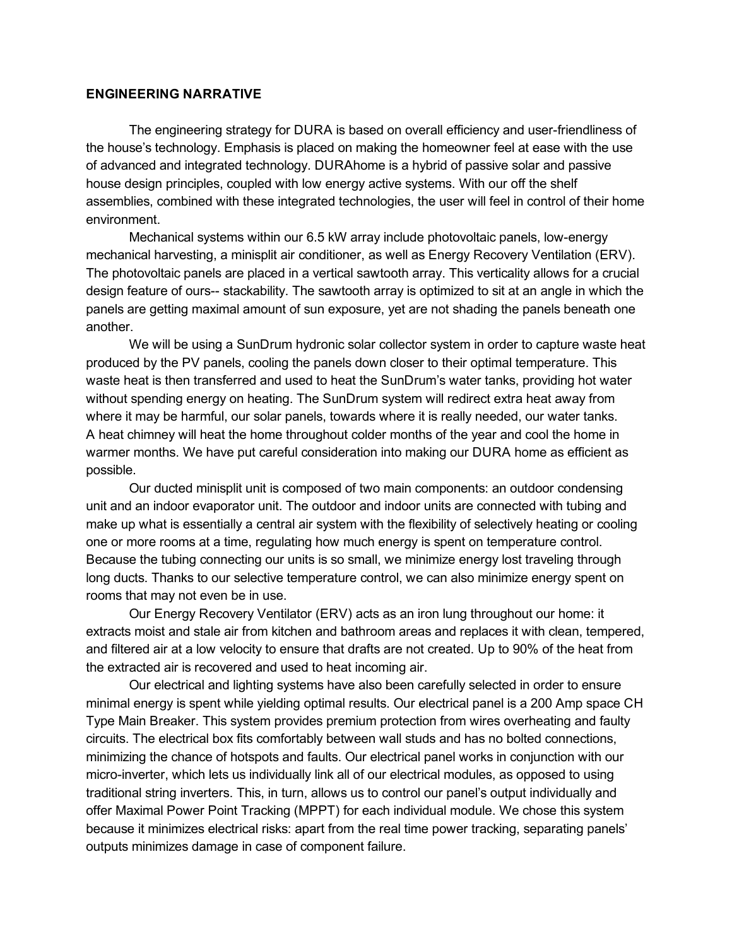## ENGINEERING NARRATIVE

The engineering strategy for DURA is based on overall efficiency and user-friendliness of the house's technology. Emphasis is placed on making the homeowner feel at ease with the use of advanced and integrated technology. DURAhome is a hybrid of passive solar and passive house design principles, coupled with low energy active systems. With our off the shelf assemblies, combined with these integrated technologies, the user will feel in control of their home environment.

Mechanical systems within our 6.5 kW array include photovoltaic panels, low-energy mechanical harvesting, a minisplit air conditioner, as well as Energy Recovery Ventilation (ERV). The photovoltaic panels are placed in a vertical sawtooth array. This verticality allows for a crucial design feature of ours-- stackability. The sawtooth array is optimized to sit at an angle in which the panels are getting maximal amount of sun exposure, yet are not shading the panels beneath one another.

We will be using a SunDrum hydronic solar collector system in order to capture waste heat produced by the PV panels, cooling the panels down closer to their optimal temperature. This waste heat is then transferred and used to heat the SunDrum's water tanks, providing hot water without spending energy on heating. The SunDrum system will redirect extra heat away from where it may be harmful, our solar panels, towards where it is really needed, our water tanks. A heat chimney will heat the home throughout colder months of the year and cool the home in warmer months. We have put careful consideration into making our DURA home as efficient as possible.

Our ducted minisplit unit is composed of two main components: an outdoor condensing unit and an indoor evaporator unit. The outdoor and indoor units are connected with tubing and make up what is essentially a central air system with the flexibility of selectively heating or cooling one or more rooms at a time, regulating how much energy is spent on temperature control. Because the tubing connecting our units is so small, we minimize energy lost traveling through long ducts. Thanks to our selective temperature control, we can also minimize energy spent on rooms that may not even be in use.

Our Energy Recovery Ventilator (ERV) acts as an iron lung throughout our home: it extracts moist and stale air from kitchen and bathroom areas and replaces it with clean, tempered, and filtered air at a low velocity to ensure that drafts are not created. Up to 90% of the heat from the extracted air is recovered and used to heat incoming air.

Our electrical and lighting systems have also been carefully selected in order to ensure minimal energy is spent while yielding optimal results. Our electrical panel is a 200 Amp space CH Type Main Breaker. This system provides premium protection from wires overheating and faulty circuits. The electrical box fits comfortably between wall studs and has no bolted connections, minimizing the chance of hotspots and faults. Our electrical panel works in conjunction with our micro-inverter, which lets us individually link all of our electrical modules, as opposed to using traditional string inverters. This, in turn, allows us to control our panel's output individually and offer Maximal Power Point Tracking (MPPT) for each individual module. We chose this system because it minimizes electrical risks: apart from the real time power tracking, separating panels' outputs minimizes damage in case of component failure.